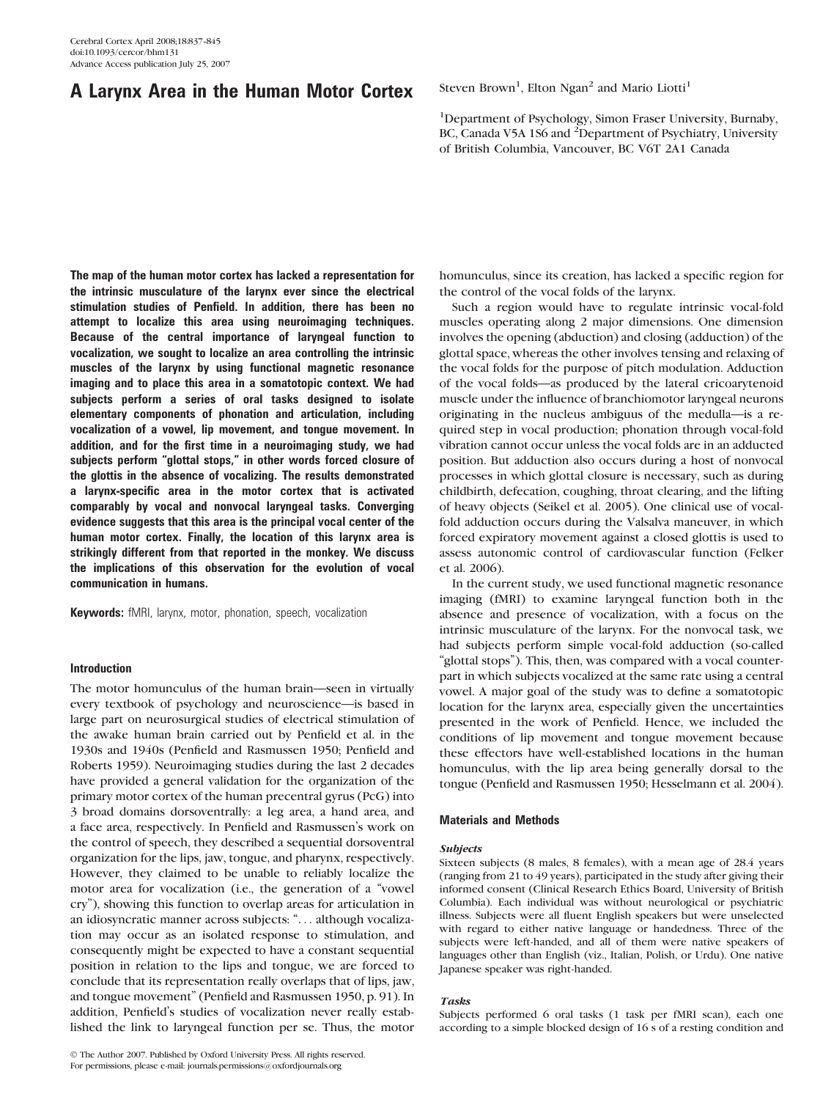# A Larynx Area in the Human Motor Cortex

Steven Brown<sup>1</sup>, Elton Ngan<sup>2</sup> and Mario Liotti<sup>1</sup>

<sup>1</sup>Department of Psychology, Simon Fraser University, Burnaby, BC, Canada V5A 1S6 and <sup>2</sup>Department of Psychiatry, University of British Columbia, Vancouver, BC V6T 2A1 Canada

The map of the human motor cortex has lacked a representation for the intrinsic musculature of the larynx ever since the electrical stimulation studies of Penfield. In addition, there has been no attempt to localize this area using neuroimaging techniques. Because of the central importance of laryngeal function to vocalization, we sought to localize an area controlling the intrinsic muscles of the larynx by using functional magnetic resonance imaging and to place this area in a somatotopic context. We had subjects perform a series of oral tasks designed to isolate elementary components of phonation and articulation, including vocalization of a vowel, lip movement, and tongue movement. In addition, and for the first time in a neuroimaging study, we had subjects perform "glottal stops," in other words forced closure of the glottis in the absence of vocalizing. The results demonstrated a larynx-specific area in the motor cortex that is activated comparably by vocal and nonvocal laryngeal tasks. Converging evidence suggests that this area is the principal vocal center of the human motor cortex. Finally, the location of this larynx area is strikingly different from that reported in the monkey. We discuss the implications of this observation for the evolution of vocal communication in humans.

Keywords: fMRI, larynx, motor, phonation, speech, vocalization

# Introduction

The motor homunculus of the human brain—seen in virtually every textbook of psychology and neuroscience—is based in large part on neurosurgical studies of electrical stimulation of the awake human brain carried out by Penfield et al. in the 1930s and 1940s (Penfield and Rasmussen 1950; Penfield and Roberts 1959). Neuroimaging studies during the last 2 decades have provided a general validation for the organization of the primary motor cortex of the human precentral gyrus (PcG) into 3 broad domains dorsoventrally: a leg area, a hand area, and a face area, respectively. In Penfield and Rasmussen's work on the control of speech, they described a sequential dorsoventral organization for the lips, jaw, tongue, and pharynx, respectively. However, they claimed to be unable to reliably localize the motor area for vocalization (i.e., the generation of a ''vowel cry''), showing this function to overlap areas for articulation in an idiosyncratic manner across subjects: ''... although vocalization may occur as an isolated response to stimulation, and consequently might be expected to have a constant sequential position in relation to the lips and tongue, we are forced to conclude that its representation really overlaps that of lips, jaw, and tongue movement'' (Penfield and Rasmussen 1950, p. 91). In addition, Penfield's studies of vocalization never really established the link to laryngeal function per se. Thus, the motor

homunculus, since its creation, has lacked a specific region for the control of the vocal folds of the larynx.

Such a region would have to regulate intrinsic vocal-fold muscles operating along 2 major dimensions. One dimension involves the opening (abduction) and closing (adduction) of the glottal space, whereas the other involves tensing and relaxing of the vocal folds for the purpose of pitch modulation. Adduction of the vocal folds—as produced by the lateral cricoarytenoid muscle under the influence of branchiomotor laryngeal neurons originating in the nucleus ambiguus of the medulla—is a required step in vocal production; phonation through vocal-fold vibration cannot occur unless the vocal folds are in an adducted position. But adduction also occurs during a host of nonvocal processes in which glottal closure is necessary, such as during childbirth, defecation, coughing, throat clearing, and the lifting of heavy objects (Seikel et al. 2005). One clinical use of vocalfold adduction occurs during the Valsalva maneuver, in which forced expiratory movement against a closed glottis is used to assess autonomic control of cardiovascular function (Felker et al. 2006).

In the current study, we used functional magnetic resonance imaging (fMRI) to examine laryngeal function both in the absence and presence of vocalization, with a focus on the intrinsic musculature of the larynx. For the nonvocal task, we had subjects perform simple vocal-fold adduction (so-called "glottal stops"). This, then, was compared with a vocal counterpart in which subjects vocalized at the same rate using a central vowel. A major goal of the study was to define a somatotopic location for the larynx area, especially given the uncertainties presented in the work of Penfield. Hence, we included the conditions of lip movement and tongue movement because these effectors have well-established locations in the human homunculus, with the lip area being generally dorsal to the tongue (Penfield and Rasmussen 1950; Hesselmann et al. 2004).

# Materials and Methods

#### Subjects

Sixteen subjects (8 males, 8 females), with a mean age of 28.4 years (ranging from 21 to 49 years), participated in the study after giving their informed consent (Clinical Research Ethics Board, University of British Columbia). Each individual was without neurological or psychiatric illness. Subjects were all fluent English speakers but were unselected with regard to either native language or handedness. Three of the subjects were left-handed, and all of them were native speakers of languages other than English (viz., Italian, Polish, or Urdu). One native Japanese speaker was right-handed.

## Tasks

Subjects performed 6 oral tasks (1 task per fMRI scan), each one according to a simple blocked design of 16 s of a resting condition and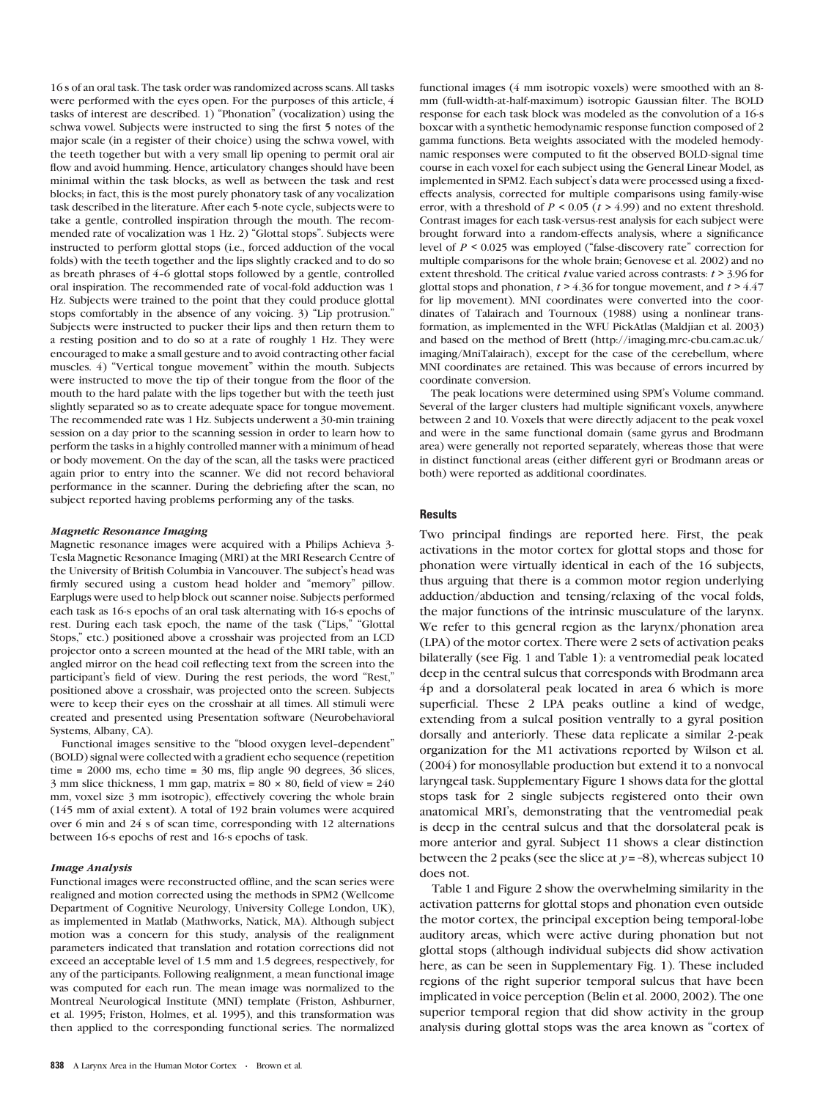16 s of an oral task. The task order was randomized across scans. All tasks were performed with the eyes open. For the purposes of this article, 4 tasks of interest are described. 1) "Phonation" (vocalization) using the schwa vowel. Subjects were instructed to sing the first 5 notes of the major scale (in a register of their choice) using the schwa vowel, with the teeth together but with a very small lip opening to permit oral air flow and avoid humming. Hence, articulatory changes should have been minimal within the task blocks, as well as between the task and rest blocks; in fact, this is the most purely phonatory task of any vocalization task described in the literature. After each 5-note cycle, subjects were to take a gentle, controlled inspiration through the mouth. The recommended rate of vocalization was 1 Hz. 2) "Glottal stops". Subjects were instructed to perform glottal stops (i.e., forced adduction of the vocal folds) with the teeth together and the lips slightly cracked and to do so as breath phrases of 4-6 glottal stops followed by a gentle, controlled oral inspiration. The recommended rate of vocal-fold adduction was 1 Hz. Subjects were trained to the point that they could produce glottal stops comfortably in the absence of any voicing. 3) ''Lip protrusion.'' Subjects were instructed to pucker their lips and then return them to a resting position and to do so at a rate of roughly 1 Hz. They were encouraged to make a small gesture and to avoid contracting other facial muscles. 4) "Vertical tongue movement" within the mouth. Subjects were instructed to move the tip of their tongue from the floor of the mouth to the hard palate with the lips together but with the teeth just slightly separated so as to create adequate space for tongue movement. The recommended rate was 1 Hz. Subjects underwent a 30-min training session on a day prior to the scanning session in order to learn how to perform the tasks in a highly controlled manner with a minimum of head or body movement. On the day of the scan, all the tasks were practiced again prior to entry into the scanner. We did not record behavioral performance in the scanner. During the debriefing after the scan, no subject reported having problems performing any of the tasks.

#### Magnetic Resonance Imaging

Magnetic resonance images were acquired with a Philips Achieva 3- Tesla Magnetic Resonance Imaging (MRI) at the MRI Research Centre of the University of British Columbia in Vancouver. The subject's head was firmly secured using a custom head holder and ''memory'' pillow. Earplugs were used to help block out scanner noise. Subjects performed each task as 16-s epochs of an oral task alternating with 16-s epochs of rest. During each task epoch, the name of the task ("Lips," "Glottal Stops,'' etc.) positioned above a crosshair was projected from an LCD projector onto a screen mounted at the head of the MRI table, with an angled mirror on the head coil reflecting text from the screen into the participant's field of view. During the rest periods, the word "Rest," positioned above a crosshair, was projected onto the screen. Subjects were to keep their eyes on the crosshair at all times. All stimuli were created and presented using Presentation software (Neurobehavioral Systems, Albany, CA).

Functional images sensitive to the "blood oxygen level-dependent" (BOLD) signal were collected with a gradient echo sequence (repetition time = 2000 ms, echo time = 30 ms, flip angle 90 degrees, 36 slices, 3 mm slice thickness, 1 mm gap, matrix =  $80 \times 80$ , field of view =  $240$ mm, voxel size 3 mm isotropic), effectively covering the whole brain (145 mm of axial extent). A total of 192 brain volumes were acquired over 6 min and 24 s of scan time, corresponding with 12 alternations between 16-s epochs of rest and 16-s epochs of task.

#### Image Analysis

Functional images were reconstructed offline, and the scan series were realigned and motion corrected using the methods in SPM2 (Wellcome Department of Cognitive Neurology, University College London, UK), as implemented in Matlab (Mathworks, Natick, MA). Although subject motion was a concern for this study, analysis of the realignment parameters indicated that translation and rotation corrections did not exceed an acceptable level of 1.5 mm and 1.5 degrees, respectively, for any of the participants. Following realignment, a mean functional image was computed for each run. The mean image was normalized to the Montreal Neurological Institute (MNI) template (Friston, Ashburner, et al. 1995; Friston, Holmes, et al. 1995), and this transformation was then applied to the corresponding functional series. The normalized functional images (4 mm isotropic voxels) were smoothed with an 8 mm (full-width-at-half-maximum) isotropic Gaussian filter. The BOLD response for each task block was modeled as the convolution of a 16-s boxcar with a synthetic hemodynamic response function composed of 2 gamma functions. Beta weights associated with the modeled hemodynamic responses were computed to fit the observed BOLD-signal time course in each voxel for each subject using the General Linear Model, as implemented in SPM2. Each subject's data were processed using a fixedeffects analysis, corrected for multiple comparisons using family-wise error, with a threshold of  $P \le 0.05$  ( $t > 4.99$ ) and no extent threshold. Contrast images for each task-versus-rest analysis for each subject were brought forward into a random-effects analysis, where a significance level of  $P < 0.025$  was employed ("false-discovery rate" correction for multiple comparisons for the whole brain; Genovese et al. 2002) and no extent threshold. The critical t value varied across contrasts:  $t > 3.96$  for glottal stops and phonation,  $t > 4.36$  for tongue movement, and  $t > 4.47$ for lip movement). MNI coordinates were converted into the coordinates of Talairach and Tournoux (1988) using a nonlinear transformation, as implemented in the WFU PickAtlas (Maldjian et al. 2003) and based on the method of Brett [\(http://imaging.mrc-cbu.cam.ac.uk/](http://imaging.mrc-cbu.cam.ac.uk/imaging/MniTalairach) [imaging/MniTalairach\),](http://imaging.mrc-cbu.cam.ac.uk/imaging/MniTalairach) except for the case of the cerebellum, where MNI coordinates are retained. This was because of errors incurred by coordinate conversion.

The peak locations were determined using SPM's Volume command. Several of the larger clusters had multiple significant voxels, anywhere between 2 and 10. Voxels that were directly adjacent to the peak voxel and were in the same functional domain (same gyrus and Brodmann area) were generally not reported separately, whereas those that were in distinct functional areas (either different gyri or Brodmann areas or both) were reported as additional coordinates.

# **Results**

Two principal findings are reported here. First, the peak activations in the motor cortex for glottal stops and those for phonation were virtually identical in each of the 16 subjects, thus arguing that there is a common motor region underlying adduction/abduction and tensing/relaxing of the vocal folds, the major functions of the intrinsic musculature of the larynx. We refer to this general region as the larynx/phonation area (LPA) of the motor cortex. There were 2 sets of activation peaks bilaterally (see Fig. 1 and Table 1): a ventromedial peak located deep in the central sulcus that corresponds with Brodmann area 4p and a dorsolateral peak located in area 6 which is more superficial. These 2 LPA peaks outline a kind of wedge, extending from a sulcal position ventrally to a gyral position dorsally and anteriorly. These data replicate a similar 2-peak organization for the M1 activations reported by Wilson et al. (2004) for monosyllable production but extend it to a nonvocal laryngeal task. Supplementary Figure 1 shows data for the glottal stops task for 2 single subjects registered onto their own anatomical MRI's, demonstrating that the ventromedial peak is deep in the central sulcus and that the dorsolateral peak is more anterior and gyral. Subject 11 shows a clear distinction between the 2 peaks (see the slice at  $y = -8$ ), whereas subject 10 does not.

Table 1 and Figure 2 show the overwhelming similarity in the activation patterns for glottal stops and phonation even outside the motor cortex, the principal exception being temporal-lobe auditory areas, which were active during phonation but not glottal stops (although individual subjects did show activation here, as can be seen in Supplementary Fig. 1). These included regions of the right superior temporal sulcus that have been implicated in voice perception (Belin et al. 2000, 2002). The one superior temporal region that did show activity in the group analysis during glottal stops was the area known as ''cortex of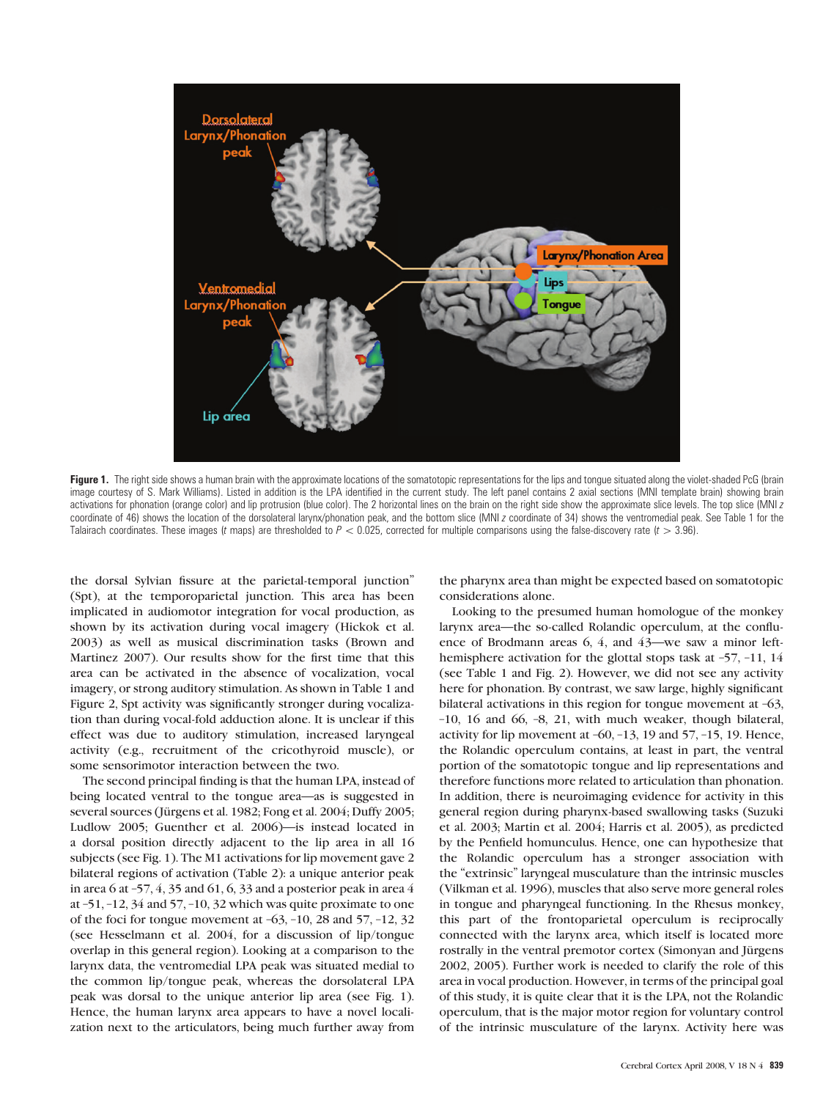

Figure 1. The right side shows a human brain with the approximate locations of the somatotopic representations for the lips and tongue situated along the violet-shaded PcG (brain image courtesy of S. Mark Williams). Listed in addition is the LPA identified in the current study. The left panel contains 2 axial sections (MNI template brain) showing brain activations for phonation (orange color) and lip protrusion (blue color). The 2 horizontal lines on the brain on the right side show the approximate slice levels. The top slice (MNI z coordinate of 46) shows the location of the dorsolateral larynx/phonation peak, and the bottom slice (MNI z coordinate of 34) shows the ventromedial peak. See Table 1 for the Talairach coordinates. These images (t maps) are thresholded to  $P < 0.025$ , corrected for multiple comparisons using the false-discovery rate (t  $> 3.96$ ).

the dorsal Sylvian fissure at the parietal-temporal junction'' (Spt), at the temporoparietal junction. This area has been implicated in audiomotor integration for vocal production, as shown by its activation during vocal imagery (Hickok et al. 2003) as well as musical discrimination tasks (Brown and Martinez 2007). Our results show for the first time that this area can be activated in the absence of vocalization, vocal imagery, or strong auditory stimulation. As shown in Table 1 and Figure 2, Spt activity was significantly stronger during vocalization than during vocal-fold adduction alone. It is unclear if this effect was due to auditory stimulation, increased laryngeal activity (e.g., recruitment of the cricothyroid muscle), or some sensorimotor interaction between the two.

The second principal finding is that the human LPA, instead of being located ventral to the tongue area—as is suggested in several sources (Jürgens et al. 1982; Fong et al. 2004; Duffy 2005; Ludlow 2005; Guenther et al. 2006)—is instead located in a dorsal position directly adjacent to the lip area in all 16 subjects (see Fig. 1). The M1 activations for lip movement gave 2 bilateral regions of activation (Table 2): a unique anterior peak in area 6 at  $-57$ , 4, 35 and 61, 6, 33 and a posterior peak in area 4 at –51, –12, 34 and 57, –10, 32 which was quite proximate to one of the foci for tongue movement at  $-63$ ,  $-10$ , 28 and  $57$ ,  $-12$ , 32 (see Hesselmann et al. 2004, for a discussion of lip/tongue overlap in this general region). Looking at a comparison to the larynx data, the ventromedial LPA peak was situated medial to the common lip/tongue peak, whereas the dorsolateral LPA peak was dorsal to the unique anterior lip area (see Fig. 1). Hence, the human larynx area appears to have a novel localization next to the articulators, being much further away from

the pharynx area than might be expected based on somatotopic considerations alone.

Looking to the presumed human homologue of the monkey larynx area—the so-called Rolandic operculum, at the confluence of Brodmann areas 6, 4, and 43—we saw a minor lefthemisphere activation for the glottal stops task at -57, -11, 14 (see Table 1 and Fig. 2). However, we did not see any activity here for phonation. By contrast, we saw large, highly significant bilateral activations in this region for tongue movement at -63, –10, 16 and 66, –8, 21, with much weaker, though bilateral, activity for lip movement at –60, –13, 19 and 57, –15, 19. Hence, the Rolandic operculum contains, at least in part, the ventral portion of the somatotopic tongue and lip representations and therefore functions more related to articulation than phonation. In addition, there is neuroimaging evidence for activity in this general region during pharynx-based swallowing tasks (Suzuki et al. 2003; Martin et al. 2004; Harris et al. 2005), as predicted by the Penfield homunculus. Hence, one can hypothesize that the Rolandic operculum has a stronger association with the ''extrinsic'' laryngeal musculature than the intrinsic muscles (Vilkman et al. 1996), muscles that also serve more general roles in tongue and pharyngeal functioning. In the Rhesus monkey, this part of the frontoparietal operculum is reciprocally connected with the larynx area, which itself is located more rostrally in the ventral premotor cortex (Simonyan and Jürgens 2002, 2005). Further work is needed to clarify the role of this area in vocal production. However, in terms of the principal goal of this study, it is quite clear that it is the LPA, not the Rolandic operculum, that is the major motor region for voluntary control of the intrinsic musculature of the larynx. Activity here was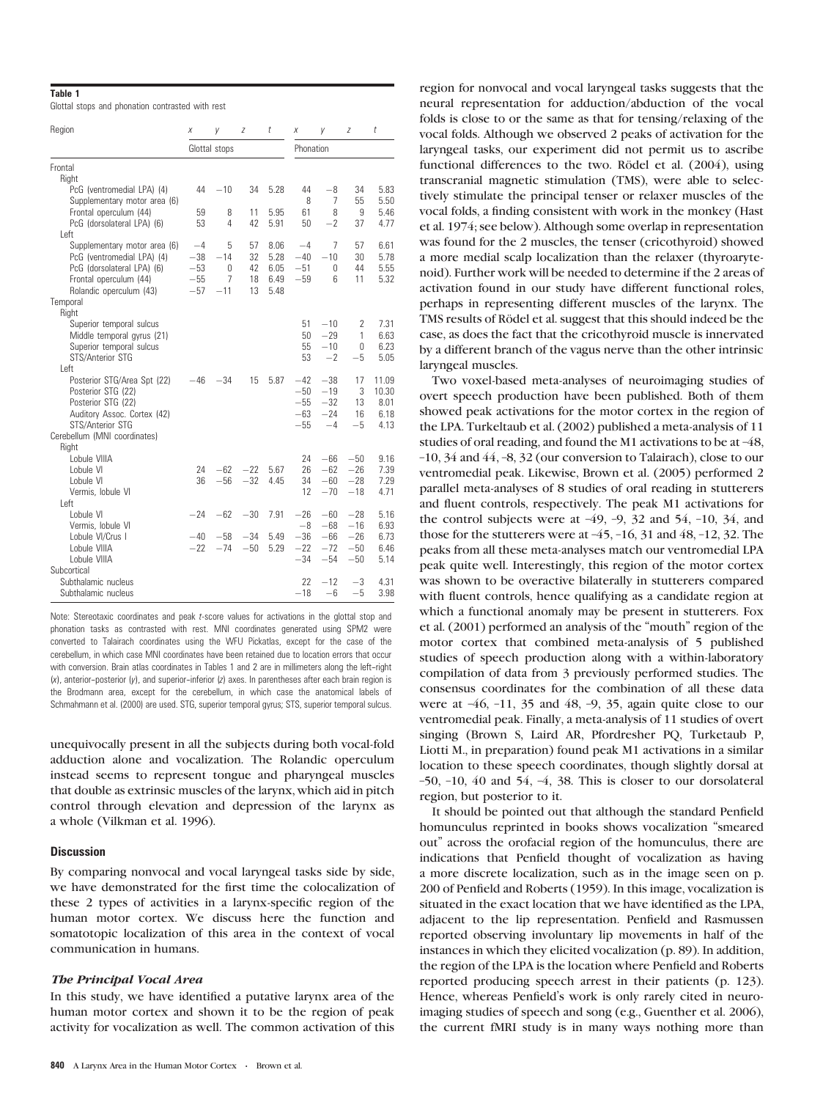## Table 1

Glottal stops and phonation contrasted with rest

| Region                                                     | Χ             | у             | Ζ     | t    | Χ              | y               | Z           | t            |  |
|------------------------------------------------------------|---------------|---------------|-------|------|----------------|-----------------|-------------|--------------|--|
|                                                            |               | Glottal stops |       |      |                | Phonation       |             |              |  |
| Frontal                                                    |               |               |       |      |                |                 |             |              |  |
| Right                                                      |               |               |       |      |                |                 |             |              |  |
| PcG (ventromedial LPA) (4)                                 | 44            | $-10$         | 34    | 5.28 | 44             | $-8$            | 34          | 5.83         |  |
| Supplementary motor area (6)                               |               |               |       |      | 8              | 7               | 55          | 5.50         |  |
| Frontal operculum (44)                                     | 59            | 8             | 11    | 5.95 | 61             | 8               | 9           | 5.46         |  |
| PcG (dorsolateral LPA) (6)<br>l eft                        | 53            | 4             | 42    | 5.91 | 50             | $-2$            | 37          | 4.77         |  |
|                                                            |               | 5             | 57    | 8.06 | $-4$           | 7               | 57          | 6.61         |  |
| Supplementary motor area (6)<br>PcG (ventromedial LPA) (4) | $-4$<br>$-38$ | $-14$         | 32    | 5.28 | $-40$          | $-10$           | 30          | 5.78         |  |
| PcG (dorsolateral LPA) (6)                                 | $-53$         | $\mathbf{0}$  | 42    | 6.05 | $-51$          | $\mathbf 0$     | 44          | 5.55         |  |
| Frontal operculum (44)                                     | $-55$         | 7             | 18    | 6.49 | $-59$          | $6\overline{6}$ | 11          | 5.32         |  |
| Rolandic operculum (43)                                    | $-57$         | $-11$         | 13    | 5.48 |                |                 |             |              |  |
| Temporal                                                   |               |               |       |      |                |                 |             |              |  |
| Right                                                      |               |               |       |      |                |                 |             |              |  |
| Superior temporal sulcus                                   |               |               |       |      | 51             | $-10$           | 2           | 7.31         |  |
| Middle temporal gyrus (21)                                 |               |               |       |      | 50             | $-29$           | 1           | 6.63         |  |
| Superior temporal sulcus                                   |               |               |       |      | 55             | $-10$           | $\mathbf 0$ | 6.23         |  |
| STS/Anterior STG                                           |               |               |       |      | 53             | $-2$            | $-5$        | 5.05         |  |
| l eft                                                      |               |               |       |      |                |                 |             |              |  |
| Posterior STG/Area Spt (22)                                | $-46$         | $-34$         | 15    | 5.87 | $-42$          | $-38$           | 17          | 11.09        |  |
| Posterior STG (22)                                         |               |               |       |      | $-50$          | $-19$           | 3           | 10.30        |  |
| Posterior STG (22)                                         |               |               |       |      | $-55$<br>$-63$ | $-32$<br>$-24$  | 13          | 8.01         |  |
| Auditory Assoc. Cortex (42)<br>STS/Anterior STG            |               |               |       |      | $-55$          | $-4$            | 16<br>$-5$  | 6.18<br>4.13 |  |
| Cerebellum (MNI coordinates)                               |               |               |       |      |                |                 |             |              |  |
| Right                                                      |               |               |       |      |                |                 |             |              |  |
| Lobule VIIIA                                               |               |               |       |      | 24             | $-66$           | $-50$       | 9.16         |  |
| Lobule VI                                                  | 24            | $-62$         | $-22$ | 5.67 | 26             | $-62$           | $-26$       | 7.39         |  |
| Lobule VI                                                  | 36            | $-56$         | $-32$ | 4.45 | 34             | $-60$           | $-28$       | 7.29         |  |
| Vermis, lobule VI                                          |               |               |       |      | 12             | $-70$           | $-18$       | 4.71         |  |
| l eft                                                      |               |               |       |      |                |                 |             |              |  |
| Lobule VI                                                  | $-24$         | $-62$         | $-30$ | 7.91 | $-26$          | $-60$           | $-28$       | 5.16         |  |
| Vermis, lobule VI                                          |               |               |       |      | $-8$           | $-68$           | $-16$       | 6.93         |  |
| Lobule VI/Crus I                                           | $-40$         | $-58$         | $-34$ | 5.49 | $-36$          | $-66$           | $-26$       | 6.73         |  |
| Lobule VIIIA                                               | $-22$         | $-74$         | $-50$ | 5.29 | $-22$          | $-72$           | $-50$       | 6.46         |  |
| Lobule VIIIA                                               |               |               |       |      | $-34$          | $-54$           | $-50$       | 5.14         |  |
| Subcortical                                                |               |               |       |      |                |                 |             |              |  |
| Subthalamic nucleus                                        |               |               |       |      | 22             | $-12$           | $-3$        | 4.31         |  |
| Subthalamic nucleus                                        |               |               |       |      | $-18$          | $-6$            | $-5$        | 3.98         |  |

Note: Stereotaxic coordinates and peak t-score values for activations in the glottal stop and phonation tasks as contrasted with rest. MNI coordinates generated using SPM2 were converted to Talairach coordinates using the WFU Pickatlas, except for the case of the cerebellum, in which case MNI coordinates have been retained due to location errors that occur with conversion. Brain atlas coordinates in Tables 1 and 2 are in millimeters along the left-right  $(x)$ , anterior-posterior  $(y)$ , and superior-inferior  $(z)$  axes. In parentheses after each brain region is the Brodmann area, except for the cerebellum, in which case the anatomical labels of Schmahmann et al. (2000) are used. STG, superior temporal gyrus; STS, superior temporal sulcus.

unequivocally present in all the subjects during both vocal-fold adduction alone and vocalization. The Rolandic operculum instead seems to represent tongue and pharyngeal muscles that double as extrinsic muscles of the larynx, which aid in pitch control through elevation and depression of the larynx as a whole (Vilkman et al. 1996).

# **Discussion**

By comparing nonvocal and vocal laryngeal tasks side by side, we have demonstrated for the first time the colocalization of these 2 types of activities in a larynx-specific region of the human motor cortex. We discuss here the function and somatotopic localization of this area in the context of vocal communication in humans.

# The Principal Vocal Area

In this study, we have identified a putative larynx area of the human motor cortex and shown it to be the region of peak activity for vocalization as well. The common activation of this

region for nonvocal and vocal laryngeal tasks suggests that the neural representation for adduction/abduction of the vocal folds is close to or the same as that for tensing/relaxing of the vocal folds. Although we observed 2 peaks of activation for the laryngeal tasks, our experiment did not permit us to ascribe functional differences to the two. Rödel et al.  $(2004)$ , using transcranial magnetic stimulation (TMS), were able to selectively stimulate the principal tenser or relaxer muscles of the vocal folds, a finding consistent with work in the monkey (Hast et al. 1974; see below). Although some overlap in representation was found for the 2 muscles, the tenser (cricothyroid) showed a more medial scalp localization than the relaxer (thyroarytenoid). Further work will be needed to determine if the 2 areas of activation found in our study have different functional roles, perhaps in representing different muscles of the larynx. The TMS results of Rödel et al. suggest that this should indeed be the case, as does the fact that the cricothyroid muscle is innervated by a different branch of the vagus nerve than the other intrinsic laryngeal muscles.

Two voxel-based meta-analyses of neuroimaging studies of overt speech production have been published. Both of them showed peak activations for the motor cortex in the region of the LPA. Turkeltaub et al. (2002) published a meta-analysis of 11 studies of oral reading, and found the M1 activations to be at –48, –10, 34 and 44, –8, 32 (our conversion to Talairach), close to our ventromedial peak. Likewise, Brown et al. (2005) performed 2 parallel meta-analyses of 8 studies of oral reading in stutterers and fluent controls, respectively. The peak M1 activations for the control subjects were at  $-49$ ,  $-9$ , 32 and 54,  $-10$ , 34, and those for the stutterers were at  $-45$ ,  $-16$ , 31 and  $48$ ,  $-12$ , 32. The peaks from all these meta-analyses match our ventromedial LPA peak quite well. Interestingly, this region of the motor cortex was shown to be overactive bilaterally in stutterers compared with fluent controls, hence qualifying as a candidate region at which a functional anomaly may be present in stutterers. Fox et al. (2001) performed an analysis of the ''mouth'' region of the motor cortex that combined meta-analysis of 5 published studies of speech production along with a within-laboratory compilation of data from 3 previously performed studies. The consensus coordinates for the combination of all these data were at  $-46$ ,  $-11$ ,  $35$  and  $48$ ,  $-9$ ,  $35$ , again quite close to our ventromedial peak. Finally, a meta-analysis of 11 studies of overt singing (Brown S, Laird AR, Pfordresher PQ, Turketaub P, Liotti M., in preparation) found peak M1 activations in a similar location to these speech coordinates, though slightly dorsal at –50, –10, 40 and 54, –4, 38. This is closer to our dorsolateral region, but posterior to it.

It should be pointed out that although the standard Penfield homunculus reprinted in books shows vocalization ''smeared out'' across the orofacial region of the homunculus, there are indications that Penfield thought of vocalization as having a more discrete localization, such as in the image seen on p. 200 of Penfield and Roberts (1959). In this image, vocalization is situated in the exact location that we have identified as the LPA, adjacent to the lip representation. Penfield and Rasmussen reported observing involuntary lip movements in half of the instances in which they elicited vocalization (p. 89). In addition, the region of the LPA is the location where Penfield and Roberts reported producing speech arrest in their patients (p. 123). Hence, whereas Penfield's work is only rarely cited in neuroimaging studies of speech and song (e.g., Guenther et al. 2006), the current fMRI study is in many ways nothing more than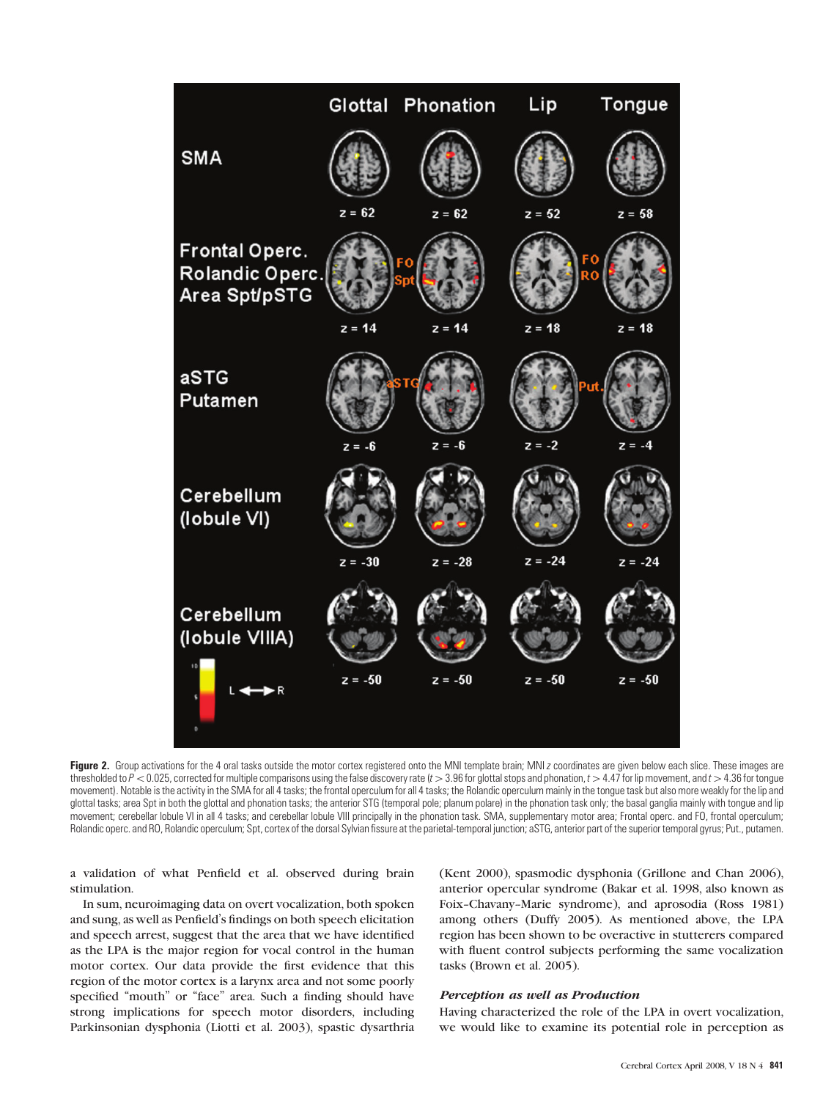

Figure 2. Group activations for the 4 oral tasks outside the motor cortex registered onto the MNI template brain; MNI z coordinates are given below each slice. These images are thresholded to  $P < 0.025$ , corrected for multiple comparisons using the false discovery rate (t > 3.96 for glottal stops and phonation, t > 4.47 for lip movement, and t > 4.36 for tongue movement). Notable is the activity in the SMA for all 4 tasks; the frontal operculum for all 4 tasks; the Rolandic operculum mainly in the tongue task but also more weakly for the lip and glottal tasks; area Spt in both the glottal and phonation tasks; the anterior STG (temporal pole; planum polare) in the phonation task only; the basal ganglia mainly with tongue and lip movement; cerebellar lobule VI in all 4 tasks; and cerebellar lobule VIII principally in the phonation task. SMA, supplementary motor area; Frontal operc. and FO, frontal operculum; Rolandic operc. and RO, Rolandic operculum; Spt, cortex of the dorsal Sylvian fissure at the parietal-temporal junction; aSTG, anterior part of the superior temporal gyrus; Put., putamen.

a validation of what Penfield et al. observed during brain stimulation.

In sum, neuroimaging data on overt vocalization, both spoken and sung, as well as Penfield's findings on both speech elicitation and speech arrest, suggest that the area that we have identified as the LPA is the major region for vocal control in the human motor cortex. Our data provide the first evidence that this region of the motor cortex is a larynx area and not some poorly specified "mouth" or "face" area. Such a finding should have strong implications for speech motor disorders, including Parkinsonian dysphonia (Liotti et al. 2003), spastic dysarthria (Kent 2000), spasmodic dysphonia (Grillone and Chan 2006), anterior opercular syndrome (Bakar et al. 1998, also known as Foix-Chavany-Marie syndrome), and aprosodia (Ross 1981) among others (Duffy 2005). As mentioned above, the LPA region has been shown to be overactive in stutterers compared with fluent control subjects performing the same vocalization tasks (Brown et al. 2005).

# Perception as well as Production

Having characterized the role of the LPA in overt vocalization, we would like to examine its potential role in perception as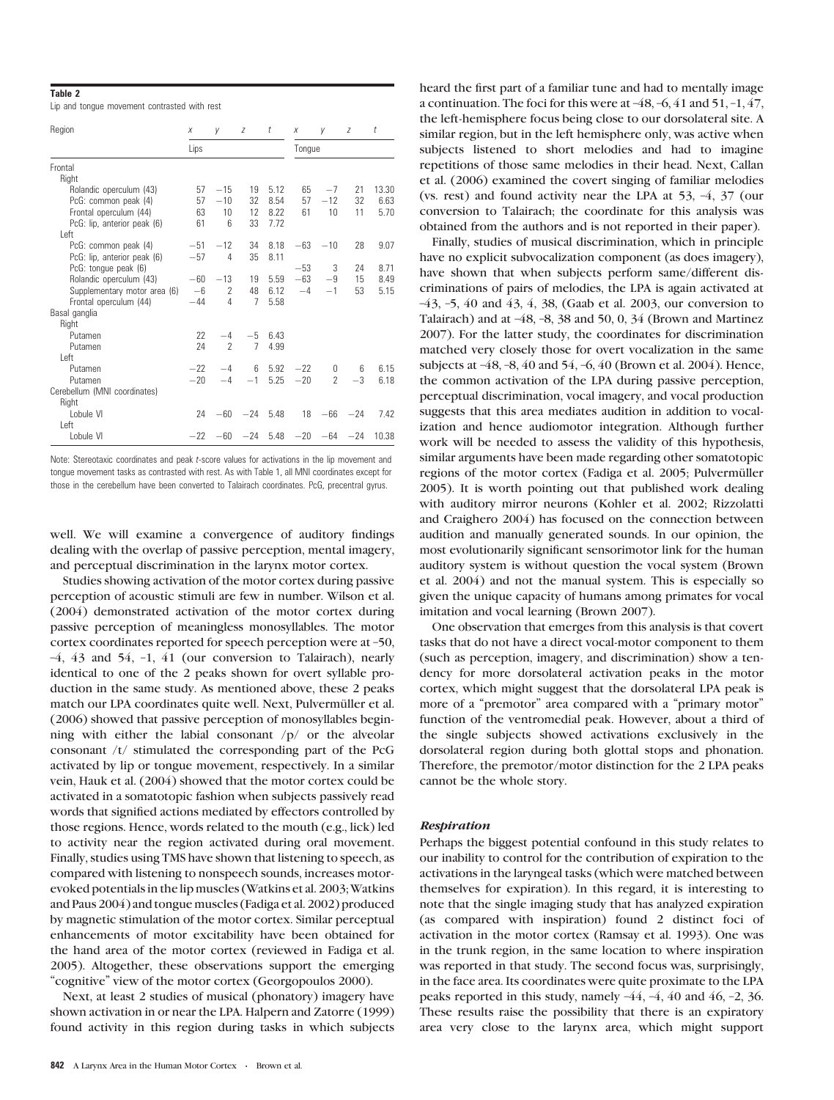#### Table 2

Lip and tongue movement contrasted with rest

| Region                       | Χ     | V                        | Z     | t    | X      | V              | Z     | t     |
|------------------------------|-------|--------------------------|-------|------|--------|----------------|-------|-------|
|                              | Lips  |                          |       |      | Tongue |                |       |       |
| Frontal                      |       |                          |       |      |        |                |       |       |
| Right                        |       |                          |       |      |        |                |       |       |
| Rolandic operculum (43)      | 57    | $-15$                    | 19    | 5.12 | 65     | $-7$           | 21    | 13.30 |
| PcG: common peak (4)         | 57    | $-10$                    | 32    | 8.54 | 57     | $-12$          | 32    | 6.63  |
| Frontal operculum (44)       | 63    | 10                       | 12    | 8.22 | 61     | 10             | 11    | 5.70  |
| PcG: lip, anterior peak (6)  | 61    | 6                        | 33    | 7.72 |        |                |       |       |
| Left                         |       |                          |       |      |        |                |       |       |
| PcG: common peak (4)         | $-51$ | $-12$                    | 34    | 8.18 | $-63$  | $-10$          | 28    | 9.07  |
| PcG: lip, anterior peak (6)  | $-57$ | 4                        | 35    | 8.11 |        |                |       |       |
| PcG: tongue peak (6)         |       |                          |       |      | $-53$  | 3              | 24    | 8.71  |
| Rolandic operculum (43)      | $-60$ | $-13$                    | 19    | 5.59 | $-63$  | $-9$           | 15    | 8.49  |
| Supplementary motor area (6) | $-6$  | 2                        | 48    | 6.12 | $-4$   | $-1$           | 53    | 5.15  |
| Frontal operculum (44)       | $-44$ | 4                        | 7     | 5.58 |        |                |       |       |
| Basal ganglia                |       |                          |       |      |        |                |       |       |
| Right                        |       |                          |       |      |        |                |       |       |
| Putamen                      | 22    | $-4$                     | $-5$  | 6.43 |        |                |       |       |
| Putamen                      | 24    | $\overline{\phantom{a}}$ | 7     | 4.99 |        |                |       |       |
| l eft                        |       |                          |       |      |        |                |       |       |
| Putamen                      | $-22$ | $-4$                     | 6     | 5.92 | $-22$  | 0              | 6     | 6.15  |
| Putamen                      | $-20$ | $-4$                     | $-1$  | 5.25 | $-20$  | $\overline{2}$ | $-3$  | 6.18  |
| Cerebellum (MNI coordinates) |       |                          |       |      |        |                |       |       |
| Right                        |       |                          |       |      |        |                |       |       |
| Lobule VI                    | 24    | $-60$                    | $-24$ | 5.48 | 18     | $-66$          | $-24$ | 7.42  |
| l eft                        |       |                          |       |      |        |                |       |       |
| Lobule VI                    | $-22$ | $-60$                    | $-24$ | 5.48 | $-20$  | $-64$          | $-24$ | 10.38 |

Note: Stereotaxic coordinates and peak t-score values for activations in the lip movement and tongue movement tasks as contrasted with rest. As with Table 1, all MNI coordinates except for those in the cerebellum have been converted to Talairach coordinates. PcG, precentral gyrus.

well. We will examine a convergence of auditory findings dealing with the overlap of passive perception, mental imagery, and perceptual discrimination in the larynx motor cortex.

Studies showing activation of the motor cortex during passive perception of acoustic stimuli are few in number. Wilson et al. (2004) demonstrated activation of the motor cortex during passive perception of meaningless monosyllables. The motor cortex coordinates reported for speech perception were at –50, –4, 43 and 54, –1, 41 (our conversion to Talairach), nearly identical to one of the 2 peaks shown for overt syllable production in the same study. As mentioned above, these 2 peaks match our LPA coordinates quite well. Next, Pulvermüller et al. (2006) showed that passive perception of monosyllables beginning with either the labial consonant /p/ or the alveolar consonant /t/ stimulated the corresponding part of the PcG activated by lip or tongue movement, respectively. In a similar vein, Hauk et al. (2004) showed that the motor cortex could be activated in a somatotopic fashion when subjects passively read words that signified actions mediated by effectors controlled by those regions. Hence, words related to the mouth (e.g., lick) led to activity near the region activated during oral movement. Finally, studies using TMS have shown that listening to speech, as compared with listening to nonspeech sounds, increases motorevoked potentials in the lip muscles (Watkins et al. 2003; Watkins and Paus 2004) and tongue muscles (Fadiga et al. 2002) produced by magnetic stimulation of the motor cortex. Similar perceptual enhancements of motor excitability have been obtained for the hand area of the motor cortex (reviewed in Fadiga et al. 2005). Altogether, these observations support the emerging "cognitive" view of the motor cortex (Georgopoulos 2000).

Next, at least 2 studies of musical (phonatory) imagery have shown activation in or near the LPA. Halpern and Zatorre (1999) found activity in this region during tasks in which subjects

heard the first part of a familiar tune and had to mentally image a continuation. The foci for this were at  $-48$ ,  $-6$ ,  $41$  and  $51$ ,  $-1$ ,  $47$ , the left-hemisphere focus being close to our dorsolateral site. A similar region, but in the left hemisphere only, was active when subjects listened to short melodies and had to imagine repetitions of those same melodies in their head. Next, Callan et al. (2006) examined the covert singing of familiar melodies (vs. rest) and found activity near the LPA at 53, –4, 37 (our conversion to Talairach; the coordinate for this analysis was obtained from the authors and is not reported in their paper).

Finally, studies of musical discrimination, which in principle have no explicit subvocalization component (as does imagery), have shown that when subjects perform same/different discriminations of pairs of melodies, the LPA is again activated at –43, –5, 40 and 43, 4, 38, (Gaab et al. 2003, our conversion to Talairach) and at  $-48$ ,  $-8$ ,  $38$  and  $50$ , 0,  $34$  (Brown and Martinez 2007). For the latter study, the coordinates for discrimination matched very closely those for overt vocalization in the same subjects at –48, –8, 40 and 54, –6, 40 (Brown et al. 2004). Hence, the common activation of the LPA during passive perception, perceptual discrimination, vocal imagery, and vocal production suggests that this area mediates audition in addition to vocalization and hence audiomotor integration. Although further work will be needed to assess the validity of this hypothesis, similar arguments have been made regarding other somatotopic regions of the motor cortex (Fadiga et al. 2005; Pulvermüller 2005). It is worth pointing out that published work dealing with auditory mirror neurons (Kohler et al. 2002; Rizzolatti and Craighero 2004) has focused on the connection between audition and manually generated sounds. In our opinion, the most evolutionarily significant sensorimotor link for the human auditory system is without question the vocal system (Brown et al. 2004) and not the manual system. This is especially so given the unique capacity of humans among primates for vocal imitation and vocal learning (Brown 2007).

One observation that emerges from this analysis is that covert tasks that do not have a direct vocal-motor component to them (such as perception, imagery, and discrimination) show a tendency for more dorsolateral activation peaks in the motor cortex, which might suggest that the dorsolateral LPA peak is more of a "premotor" area compared with a "primary motor" function of the ventromedial peak. However, about a third of the single subjects showed activations exclusively in the dorsolateral region during both glottal stops and phonation. Therefore, the premotor/motor distinction for the 2 LPA peaks cannot be the whole story.

#### Respiration

Perhaps the biggest potential confound in this study relates to our inability to control for the contribution of expiration to the activations in the laryngeal tasks (which were matched between themselves for expiration). In this regard, it is interesting to note that the single imaging study that has analyzed expiration (as compared with inspiration) found 2 distinct foci of activation in the motor cortex (Ramsay et al. 1993). One was in the trunk region, in the same location to where inspiration was reported in that study. The second focus was, surprisingly, in the face area. Its coordinates were quite proximate to the LPA peaks reported in this study, namely –44, –4, 40 and 46, –2, 36. These results raise the possibility that there is an expiratory area very close to the larynx area, which might support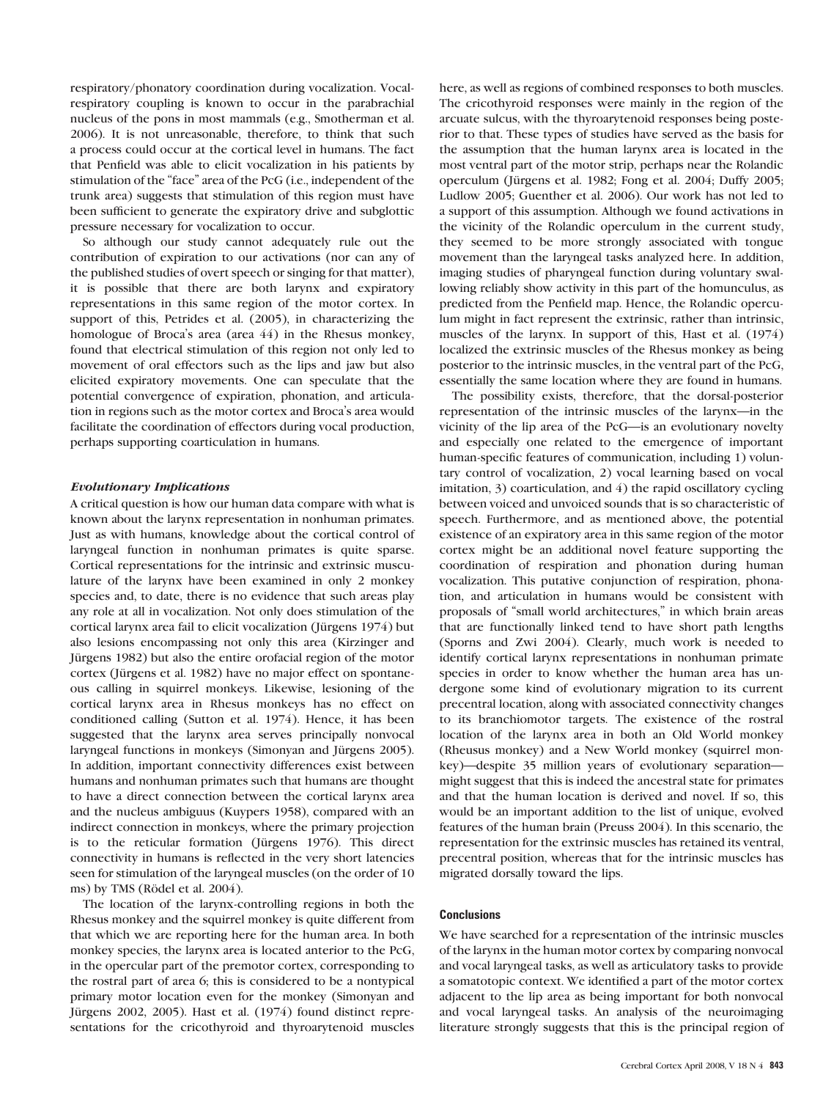respiratory/phonatory coordination during vocalization. Vocalrespiratory coupling is known to occur in the parabrachial nucleus of the pons in most mammals (e.g., Smotherman et al. 2006). It is not unreasonable, therefore, to think that such a process could occur at the cortical level in humans. The fact that Penfield was able to elicit vocalization in his patients by stimulation of the "face" area of the PcG (i.e., independent of the trunk area) suggests that stimulation of this region must have been sufficient to generate the expiratory drive and subglottic pressure necessary for vocalization to occur.

So although our study cannot adequately rule out the contribution of expiration to our activations (nor can any of the published studies of overt speech or singing for that matter), it is possible that there are both larynx and expiratory representations in this same region of the motor cortex. In support of this, Petrides et al. (2005), in characterizing the homologue of Broca's area (area 44) in the Rhesus monkey, found that electrical stimulation of this region not only led to movement of oral effectors such as the lips and jaw but also elicited expiratory movements. One can speculate that the potential convergence of expiration, phonation, and articulation in regions such as the motor cortex and Broca's area would facilitate the coordination of effectors during vocal production, perhaps supporting coarticulation in humans.

# Evolutionary Implications

A critical question is how our human data compare with what is known about the larynx representation in nonhuman primates. Just as with humans, knowledge about the cortical control of laryngeal function in nonhuman primates is quite sparse. Cortical representations for the intrinsic and extrinsic musculature of the larynx have been examined in only 2 monkey species and, to date, there is no evidence that such areas play any role at all in vocalization. Not only does stimulation of the cortical larynx area fail to elicit vocalization (Jürgens 1974) but also lesions encompassing not only this area (Kirzinger and Jürgens 1982) but also the entire orofacial region of the motor cortex (Jürgens et al. 1982) have no major effect on spontaneous calling in squirrel monkeys. Likewise, lesioning of the cortical larynx area in Rhesus monkeys has no effect on conditioned calling (Sutton et al. 1974). Hence, it has been suggested that the larynx area serves principally nonvocal laryngeal functions in monkeys (Simonyan and Jürgens 2005). In addition, important connectivity differences exist between humans and nonhuman primates such that humans are thought to have a direct connection between the cortical larynx area and the nucleus ambiguus (Kuypers 1958), compared with an indirect connection in monkeys, where the primary projection is to the reticular formation (Jürgens  $1976$ ). This direct connectivity in humans is reflected in the very short latencies seen for stimulation of the laryngeal muscles (on the order of 10 ms) by TMS (Rödel et al. 2004).

The location of the larynx-controlling regions in both the Rhesus monkey and the squirrel monkey is quite different from that which we are reporting here for the human area. In both monkey species, the larynx area is located anterior to the PcG, in the opercular part of the premotor cortex, corresponding to the rostral part of area 6; this is considered to be a nontypical primary motor location even for the monkey (Simonyan and Jürgens 2002, 2005). Hast et al.  $(1974)$  found distinct representations for the cricothyroid and thyroarytenoid muscles

here, as well as regions of combined responses to both muscles. The cricothyroid responses were mainly in the region of the arcuate sulcus, with the thyroarytenoid responses being posterior to that. These types of studies have served as the basis for the assumption that the human larynx area is located in the most ventral part of the motor strip, perhaps near the Rolandic operculum (Jürgens et al. 1982; Fong et al. 2004; Duffy 2005; Ludlow 2005; Guenther et al. 2006). Our work has not led to a support of this assumption. Although we found activations in the vicinity of the Rolandic operculum in the current study, they seemed to be more strongly associated with tongue movement than the laryngeal tasks analyzed here. In addition, imaging studies of pharyngeal function during voluntary swallowing reliably show activity in this part of the homunculus, as predicted from the Penfield map. Hence, the Rolandic operculum might in fact represent the extrinsic, rather than intrinsic, muscles of the larynx. In support of this, Hast et al. (1974) localized the extrinsic muscles of the Rhesus monkey as being posterior to the intrinsic muscles, in the ventral part of the PcG, essentially the same location where they are found in humans.

The possibility exists, therefore, that the dorsal-posterior representation of the intrinsic muscles of the larynx—in the vicinity of the lip area of the PcG—is an evolutionary novelty and especially one related to the emergence of important human-specific features of communication, including 1) voluntary control of vocalization, 2) vocal learning based on vocal imitation, 3) coarticulation, and 4) the rapid oscillatory cycling between voiced and unvoiced sounds that is so characteristic of speech. Furthermore, and as mentioned above, the potential existence of an expiratory area in this same region of the motor cortex might be an additional novel feature supporting the coordination of respiration and phonation during human vocalization. This putative conjunction of respiration, phonation, and articulation in humans would be consistent with proposals of ''small world architectures,'' in which brain areas that are functionally linked tend to have short path lengths (Sporns and Zwi 2004). Clearly, much work is needed to identify cortical larynx representations in nonhuman primate species in order to know whether the human area has undergone some kind of evolutionary migration to its current precentral location, along with associated connectivity changes to its branchiomotor targets. The existence of the rostral location of the larynx area in both an Old World monkey (Rheusus monkey) and a New World monkey (squirrel monkey)—despite 35 million years of evolutionary separation might suggest that this is indeed the ancestral state for primates and that the human location is derived and novel. If so, this would be an important addition to the list of unique, evolved features of the human brain (Preuss 2004). In this scenario, the representation for the extrinsic muscles has retained its ventral, precentral position, whereas that for the intrinsic muscles has migrated dorsally toward the lips.

#### **Conclusions**

We have searched for a representation of the intrinsic muscles of the larynx in the human motor cortex by comparing nonvocal and vocal laryngeal tasks, as well as articulatory tasks to provide a somatotopic context. We identified a part of the motor cortex adjacent to the lip area as being important for both nonvocal and vocal laryngeal tasks. An analysis of the neuroimaging literature strongly suggests that this is the principal region of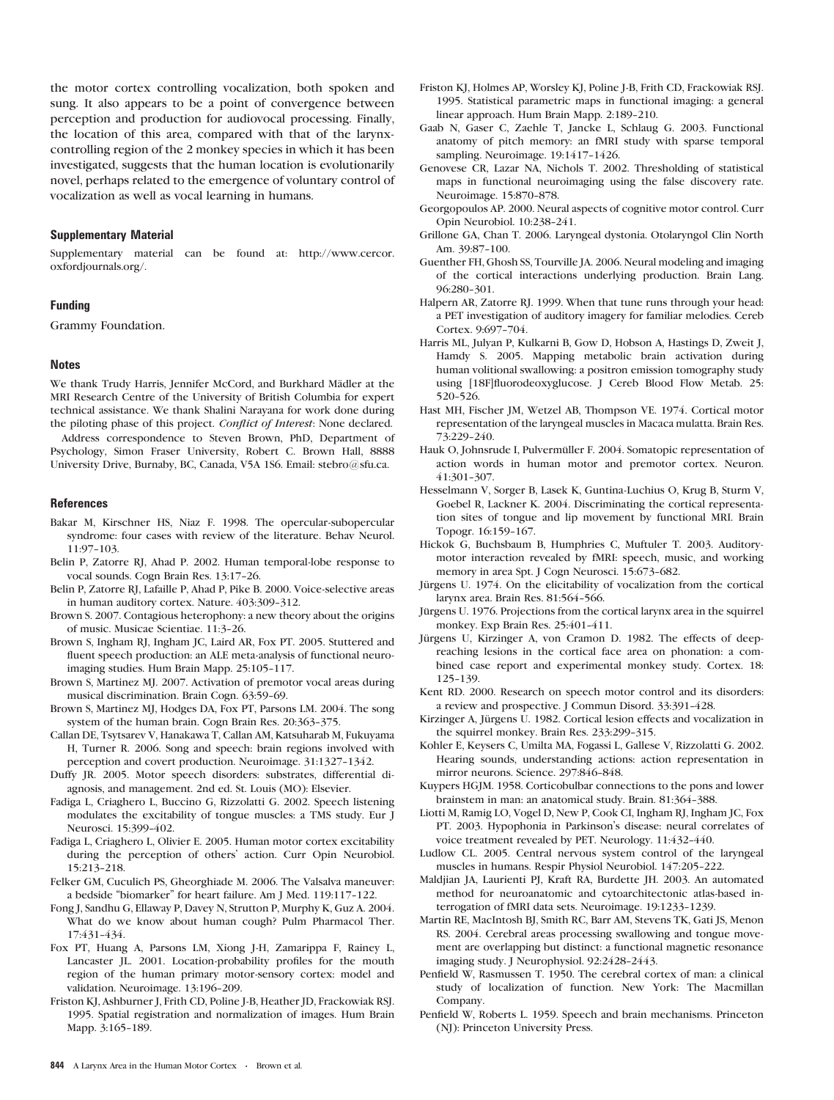the motor cortex controlling vocalization, both spoken and sung. It also appears to be a point of convergence between perception and production for audiovocal processing. Finally, the location of this area, compared with that of the larynxcontrolling region of the 2 monkey species in which it has been investigated, suggests that the human location is evolutionarily novel, perhaps related to the emergence of voluntary control of vocalization as well as vocal learning in humans.

#### Supplementary Material

Supplementary material can be found at: [http://www.cercor.](http://www.cercor.oxfordjournals.org) [oxfordjournals.org/.](http://www.cercor.oxfordjournals.org)

## Funding

Grammy Foundation.

#### **Notes**

We thank Trudy Harris, Jennifer McCord, and Burkhard Mädler at the MRI Research Centre of the University of British Columbia for expert technical assistance. We thank Shalini Narayana for work done during the piloting phase of this project. Conflict of Interest: None declared.

Address correspondence to Steven Brown, PhD, Department of Psychology, Simon Fraser University, Robert C. Brown Hall, 8888 University Drive, Burnaby, BC, Canada, V5A 1S6. Email: stebro@sfu.ca.

#### References

- Bakar M, Kirschner HS, Niaz F. 1998. The opercular-subopercular syndrome: four cases with review of the literature. Behav Neurol. 11:97-103.
- Belin P, Zatorre RJ, Ahad P. 2002. Human temporal-lobe response to vocal sounds. Cogn Brain Res. 13:17-26.
- Belin P, Zatorre RJ, Lafaille P, Ahad P, Pike B. 2000. Voice-selective areas in human auditory cortex. Nature. 403:309-312.
- Brown S. 2007. Contagious heterophony: a new theory about the origins of music. Musicae Scientiae. 11:3-26.
- Brown S, Ingham RJ, Ingham JC, Laird AR, Fox PT. 2005. Stuttered and fluent speech production: an ALE meta-analysis of functional neuroimaging studies. Hum Brain Mapp. 25:105-117.
- Brown S, Martinez MJ. 2007. Activation of premotor vocal areas during musical discrimination. Brain Cogn. 63:59-69.
- Brown S, Martinez MJ, Hodges DA, Fox PT, Parsons LM. 2004. The song system of the human brain. Cogn Brain Res. 20:363-375.
- Callan DE, Tsytsarev V, Hanakawa T, Callan AM, Katsuharab M, Fukuyama H, Turner R. 2006. Song and speech: brain regions involved with perception and covert production. Neuroimage. 31:1327-1342.
- Duffy JR. 2005. Motor speech disorders: substrates, differential diagnosis, and management. 2nd ed. St. Louis (MO): Elsevier.
- Fadiga L, Criaghero L, Buccino G, Rizzolatti G. 2002. Speech listening modulates the excitability of tongue muscles: a TMS study. Eur J Neurosci. 15:399-402.
- Fadiga L, Criaghero L, Olivier E. 2005. Human motor cortex excitability during the perception of others' action. Curr Opin Neurobiol. 15:213--218.
- Felker GM, Cuculich PS, Gheorghiade M. 2006. The Valsalva maneuver: a bedside "biomarker" for heart failure. Am J Med. 119:117-122.
- Fong J, Sandhu G, Ellaway P, Davey N, Strutton P, Murphy K, Guz A. 2004. What do we know about human cough? Pulm Pharmacol Ther. 17:431-434.
- Fox PT, Huang A, Parsons LM, Xiong J-H, Zamarippa F, Rainey L, Lancaster JL. 2001. Location-probability profiles for the mouth region of the human primary motor-sensory cortex: model and validation. Neuroimage. 13:196-209.
- Friston KJ, Ashburner J, Frith CD, Poline J-B, Heather JD, Frackowiak RSJ. 1995. Spatial registration and normalization of images. Hum Brain Mapp. 3:165-189.
- Friston KJ, Holmes AP, Worsley KJ, Poline J-B, Frith CD, Frackowiak RSJ. 1995. Statistical parametric maps in functional imaging: a general linear approach. Hum Brain Mapp. 2:189-210.
- Gaab N, Gaser C, Zaehle T, Jancke L, Schlaug G. 2003. Functional anatomy of pitch memory: an fMRI study with sparse temporal sampling. Neuroimage. 19:1417-1426.
- Genovese CR, Lazar NA, Nichols T. 2002. Thresholding of statistical maps in functional neuroimaging using the false discovery rate. Neuroimage. 15:870-878.
- Georgopoulos AP. 2000. Neural aspects of cognitive motor control. Curr Opin Neurobiol. 10:238-241.
- Grillone GA, Chan T. 2006. Laryngeal dystonia. Otolaryngol Clin North Am. 39:87-100.
- Guenther FH, Ghosh SS, Tourville JA. 2006. Neural modeling and imaging of the cortical interactions underlying production. Brain Lang. 96:280-301.
- Halpern AR, Zatorre RJ. 1999. When that tune runs through your head: a PET investigation of auditory imagery for familiar melodies. Cereb Cortex. 9:697-704.
- Harris ML, Julyan P, Kulkarni B, Gow D, Hobson A, Hastings D, Zweit J, Hamdy S. 2005. Mapping metabolic brain activation during human volitional swallowing: a positron emission tomography study using [18F]fluorodeoxyglucose. J Cereb Blood Flow Metab. 25: 520-526.
- Hast MH, Fischer JM, Wetzel AB, Thompson VE. 1974. Cortical motor representation of the laryngeal muscles in Macaca mulatta. Brain Res. 73:229-240.
- Hauk O, Johnsrude I, Pulvermüller F. 2004. Somatopic representation of action words in human motor and premotor cortex. Neuron. 41:301-307.
- Hesselmann V, Sorger B, Lasek K, Guntina-Luchius O, Krug B, Sturm V, Goebel R, Lackner K. 2004. Discriminating the cortical representation sites of tongue and lip movement by functional MRI. Brain Topogr. 16:159-167.
- Hickok G, Buchsbaum B, Humphries C, Muftuler T. 2003. Auditorymotor interaction revealed by fMRI: speech, music, and working memory in area Spt. J Cogn Neurosci. 15:673-682.
- Jürgens U. 1974. On the elicitability of vocalization from the cortical larynx area. Brain Res. 81:564-566.
- Jürgens U. 1976. Projections from the cortical larynx area in the squirrel monkey. Exp Brain Res. 25:401-411.
- Jürgens U, Kirzinger A, von Cramon D. 1982. The effects of deepreaching lesions in the cortical face area on phonation: a combined case report and experimental monkey study. Cortex. 18: 125--139.
- Kent RD. 2000. Research on speech motor control and its disorders: a review and prospective. J Commun Disord. 33:391-428.
- Kirzinger A, Jürgens U. 1982. Cortical lesion effects and vocalization in the squirrel monkey. Brain Res. 233:299-315.
- Kohler E, Keysers C, Umilta MA, Fogassi L, Gallese V, Rizzolatti G. 2002. Hearing sounds, understanding actions: action representation in mirror neurons. Science. 297:846-848.
- Kuypers HGJM. 1958. Corticobulbar connections to the pons and lower brainstem in man: an anatomical study. Brain. 81:364-388.
- Liotti M, Ramig LO, Vogel D, New P, Cook CI, Ingham RJ, Ingham JC, Fox PT. 2003. Hypophonia in Parkinson's disease: neural correlates of voice treatment revealed by PET. Neurology. 11:432-440.
- Ludlow CL. 2005. Central nervous system control of the laryngeal muscles in humans. Respir Physiol Neurobiol. 147:205-222.
- Maldjian JA, Laurienti PJ, Kraft RA, Burdette JH. 2003. An automated method for neuroanatomic and cytoarchitectonic atlas-based interrogation of fMRI data sets. Neuroimage. 19:1233--1239.
- Martin RE, MacIntosh BJ, Smith RC, Barr AM, Stevens TK, Gati JS, Menon RS. 2004. Cerebral areas processing swallowing and tongue movement are overlapping but distinct: a functional magnetic resonance imaging study. J Neurophysiol. 92:2428-2443.
- Penfield W, Rasmussen T. 1950. The cerebral cortex of man: a clinical study of localization of function. New York: The Macmillan Company.
- Penfield W, Roberts L. 1959. Speech and brain mechanisms. Princeton (NJ): Princeton University Press.